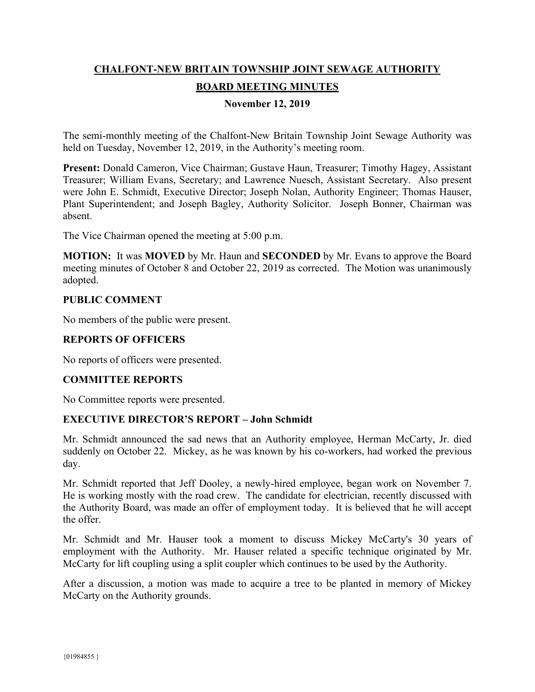# **CHALFONT-NEW BRITAIN TOWNSHIP JOINT SEWAGE AUTHORITY BOARD MEETING MINUTES**

### **November 12, 2019**

The semi-monthly meeting of the Chalfont-New Britain Township Joint Sewage Authority was held on Tuesday, November 12, 2019, in the Authority's meeting room.

**Present:** Donald Cameron, Vice Chairman; Gustave Haun, Treasurer; Timothy Hagey, Assistant Treasurer; William Evans, Secretary; and Lawrence Nuesch, Assistant Secretary. Also present were John E. Schmidt, Executive Director; Joseph Nolan, Authority Engineer; Thomas Hauser, Plant Superintendent; and Joseph Bagley, Authority Solicitor. Joseph Bonner, Chairman was absent.

The Vice Chairman opened the meeting at 5:00 p.m.

**MOTION:** It was **MOVED** by Mr. Haun and **SECONDED** by Mr. Evans to approve the Board meeting minutes of October 8 and October 22, 2019 as corrected. The Motion was unanimously adopted.

#### **PUBLIC COMMENT**

No members of the public were present.

# **REPORTS OF OFFICERS**

No reports of officers were presented.

#### **COMMITTEE REPORTS**

No Committee reports were presented.

#### **EXECUTIVE DIRECTOR'S REPORT – John Schmidt**

Mr. Schmidt announced the sad news that an Authority employee, Herman McCarty, Jr. died suddenly on October 22. Mickey, as he was known by his co-workers, had worked the previous day.

Mr. Schmidt reported that Jeff Dooley, a newly-hired employee, began work on November 7. He is working mostly with the road crew. The candidate for electrician, recently discussed with the Authority Board, was made an offer of employment today. It is believed that he will accept the offer.

Mr. Schmidt and Mr. Hauser took a moment to discuss Mickey McCarty's 30 years of employment with the Authority. Mr. Hauser related a specific technique originated by Mr. McCarty for lift coupling using a split coupler which continues to be used by the Authority.

After a discussion, a motion was made to acquire a tree to be planted in memory of Mickey McCarty on the Authority grounds.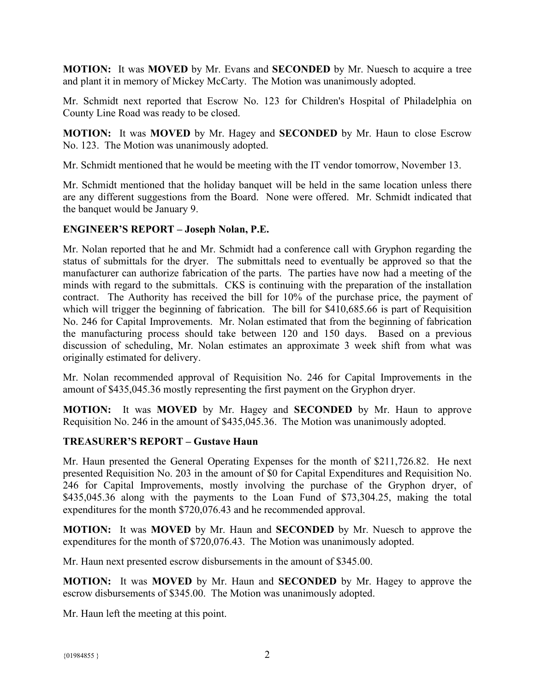**MOTION:** It was **MOVED** by Mr. Evans and **SECONDED** by Mr. Nuesch to acquire a tree and plant it in memory of Mickey McCarty. The Motion was unanimously adopted.

Mr. Schmidt next reported that Escrow No. 123 for Children's Hospital of Philadelphia on County Line Road was ready to be closed.

**MOTION:** It was **MOVED** by Mr. Hagey and **SECONDED** by Mr. Haun to close Escrow No. 123. The Motion was unanimously adopted.

Mr. Schmidt mentioned that he would be meeting with the IT vendor tomorrow, November 13.

Mr. Schmidt mentioned that the holiday banquet will be held in the same location unless there are any different suggestions from the Board. None were offered. Mr. Schmidt indicated that the banquet would be January 9.

#### **ENGINEER'S REPORT – Joseph Nolan, P.E.**

Mr. Nolan reported that he and Mr. Schmidt had a conference call with Gryphon regarding the status of submittals for the dryer. The submittals need to eventually be approved so that the manufacturer can authorize fabrication of the parts. The parties have now had a meeting of the minds with regard to the submittals. CKS is continuing with the preparation of the installation contract. The Authority has received the bill for 10% of the purchase price, the payment of which will trigger the beginning of fabrication. The bill for \$410,685.66 is part of Requisition No. 246 for Capital Improvements. Mr. Nolan estimated that from the beginning of fabrication the manufacturing process should take between 120 and 150 days. Based on a previous discussion of scheduling, Mr. Nolan estimates an approximate 3 week shift from what was originally estimated for delivery.

Mr. Nolan recommended approval of Requisition No. 246 for Capital Improvements in the amount of \$435,045.36 mostly representing the first payment on the Gryphon dryer.

**MOTION:** It was **MOVED** by Mr. Hagey and **SECONDED** by Mr. Haun to approve Requisition No. 246 in the amount of \$435,045.36. The Motion was unanimously adopted.

# **TREASURER'S REPORT – Gustave Haun**

Mr. Haun presented the General Operating Expenses for the month of \$211,726.82. He next presented Requisition No. 203 in the amount of \$0 for Capital Expenditures and Requisition No. 246 for Capital Improvements, mostly involving the purchase of the Gryphon dryer, of \$435,045.36 along with the payments to the Loan Fund of \$73,304.25, making the total expenditures for the month \$720,076.43 and he recommended approval.

**MOTION:** It was **MOVED** by Mr. Haun and **SECONDED** by Mr. Nuesch to approve the expenditures for the month of \$720,076.43. The Motion was unanimously adopted.

Mr. Haun next presented escrow disbursements in the amount of \$345.00.

**MOTION:** It was **MOVED** by Mr. Haun and **SECONDED** by Mr. Hagey to approve the escrow disbursements of \$345.00. The Motion was unanimously adopted.

Mr. Haun left the meeting at this point.